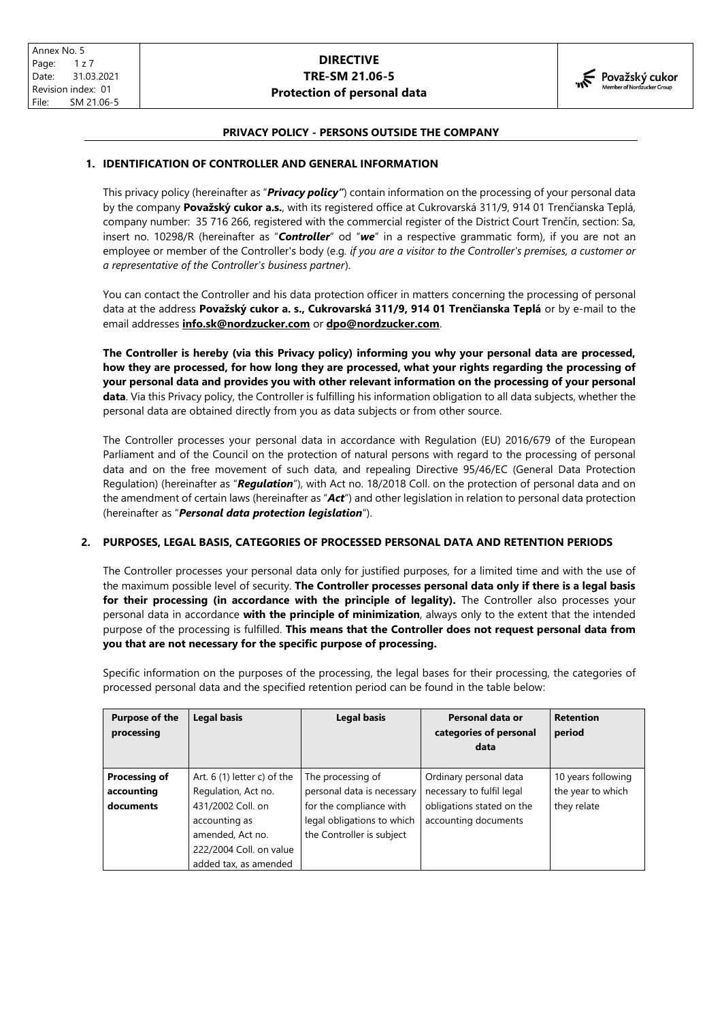

## **PRIVACY POLICY - PERSONS OUTSIDE THE COMPANY**

### **1. IDENTIFICATION OF CONTROLLER AND GENERAL INFORMATION**

This privacy policy (hereinafter as "*Privacy policy"*) contain information on the processing of your personal data by the company **Považský cukor a.s.**, with its registered office at Cukrovarská 311/9, 914 01 Trenčianska Teplá, company number: 35 716 266, registered with the commercial register of the District Court Trenčín, section: Sa, insert no. 10298/R (hereinafter as "*Controller*" od "*we*" in a respective grammatic form), if you are not an employee or member of the Controller's body (e.g*. if you are a visitor to the Controller's premises, a customer or a representative of the Controller's business partner*).

You can contact the Controller and his data protection officer in matters concerning the processing of personal data at the address **Považský cukor a. s., Cukrovarská 311/9, 914 01 Trenčianska Teplá** or by e-mail to the email addresses **[info.sk@nordzucker.com](mailto:info.sk@nordzucker.com)** or **[dpo@nordzucker.com](mailto:dpo@nordzucker.com)**.

**The Controller is hereby (via this Privacy policy) informing you why your personal data are processed, how they are processed, for how long they are processed, what your rights regarding the processing of your personal data and provides you with other relevant information on the processing of your personal data**. Via this Privacy policy, the Controller is fulfilling his information obligation to all data subjects, whether the personal data are obtained directly from you as data subjects or from other source.

The Controller processes your personal data in accordance with Regulation (EU) 2016/679 of the European Parliament and of the Council on the protection of natural persons with regard to the processing of personal data and on the free movement of such data, and repealing Directive 95/46/EC (General Data Protection Regulation) (hereinafter as "*Regulation*"), with Act no. 18/2018 Coll. on the protection of personal data and on the amendment of certain laws (hereinafter as "*Act*") and other legislation in relation to personal data protection (hereinafter as "*Personal data protection legislation*").

### **2. PURPOSES, LEGAL BASIS, CATEGORIES OF PROCESSED PERSONAL DATA AND RETENTION PERIODS**

The Controller processes your personal data only for justified purposes, for a limited time and with the use of the maximum possible level of security. **The Controller processes personal data only if there is a legal basis for their processing (in accordance with the principle of legality).** The Controller also processes your personal data in accordance **with the principle of minimization**, always only to the extent that the intended purpose of the processing is fulfilled. **This means that the Controller does not request personal data from you that are not necessary for the specific purpose of processing.**

Specific information on the purposes of the processing, the legal bases for their processing, the categories of processed personal data and the specified retention period can be found in the table below:

| <b>Purpose of the</b><br>processing | <b>Legal basis</b>           | <b>Legal basis</b>         | Personal data or<br>categories of personal<br>data | <b>Retention</b><br>period |
|-------------------------------------|------------------------------|----------------------------|----------------------------------------------------|----------------------------|
| <b>Processing of</b>                | Art. $6(1)$ letter c) of the | The processing of          | Ordinary personal data                             | 10 years following         |
| accounting                          | Regulation, Act no.          | personal data is necessary | necessary to fulfil legal                          | the year to which          |
| documents                           | 431/2002 Coll. on            | for the compliance with    | obligations stated on the                          | they relate                |
|                                     | accounting as                | legal obligations to which | accounting documents                               |                            |
|                                     | amended, Act no.             | the Controller is subject  |                                                    |                            |
|                                     | 222/2004 Coll. on value      |                            |                                                    |                            |
|                                     | added tax, as amended        |                            |                                                    |                            |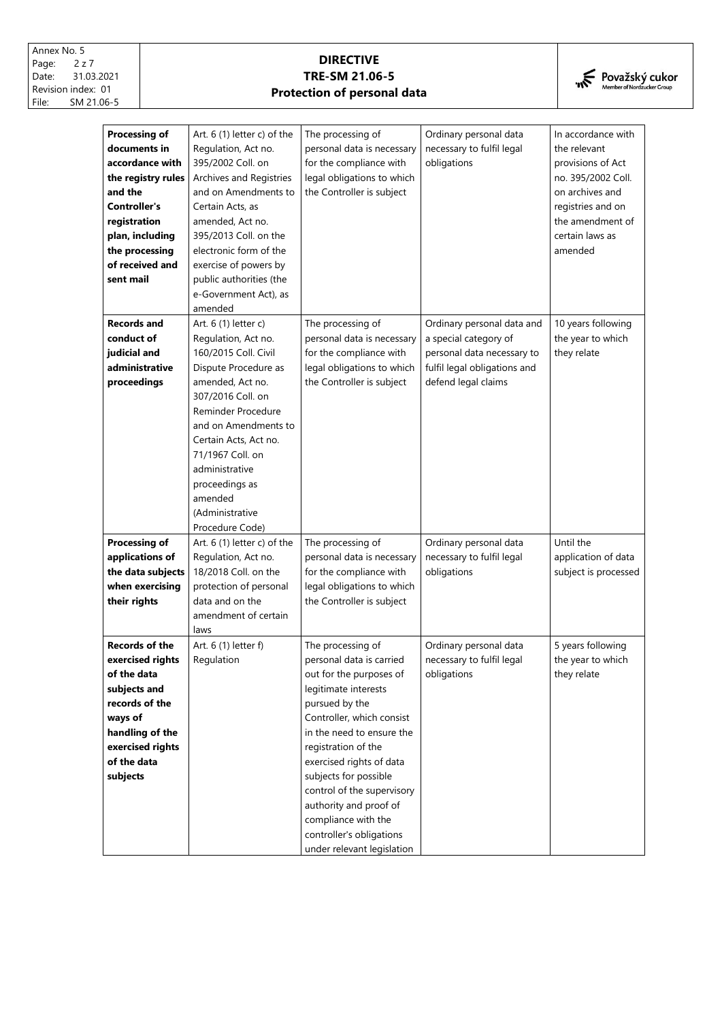

| <b>Processing of</b>  | Art. $6(1)$ letter c) of the | The processing of          | Ordinary personal data       | In accordance with   |
|-----------------------|------------------------------|----------------------------|------------------------------|----------------------|
| documents in          | Regulation, Act no.          | personal data is necessary | necessary to fulfil legal    | the relevant         |
| accordance with       | 395/2002 Coll. on            | for the compliance with    | obligations                  | provisions of Act    |
| the registry rules    | Archives and Registries      | legal obligations to which |                              | no. 395/2002 Coll.   |
| and the               | and on Amendments to         | the Controller is subject  |                              | on archives and      |
| Controller's          | Certain Acts, as             |                            |                              | registries and on    |
| registration          | amended, Act no.             |                            |                              | the amendment of     |
| plan, including       | 395/2013 Coll. on the        |                            |                              | certain laws as      |
| the processing        | electronic form of the       |                            |                              | amended              |
| of received and       | exercise of powers by        |                            |                              |                      |
| sent mail             | public authorities (the      |                            |                              |                      |
|                       | e-Government Act), as        |                            |                              |                      |
|                       | amended                      |                            |                              |                      |
| <b>Records and</b>    | Art. 6 (1) letter c)         | The processing of          | Ordinary personal data and   | 10 years following   |
| conduct of            | Regulation, Act no.          | personal data is necessary | a special category of        | the year to which    |
| judicial and          | 160/2015 Coll. Civil         | for the compliance with    | personal data necessary to   | they relate          |
| administrative        |                              |                            |                              |                      |
|                       | Dispute Procedure as         | legal obligations to which | fulfil legal obligations and |                      |
| proceedings           | amended, Act no.             | the Controller is subject  | defend legal claims          |                      |
|                       | 307/2016 Coll. on            |                            |                              |                      |
|                       | Reminder Procedure           |                            |                              |                      |
|                       | and on Amendments to         |                            |                              |                      |
|                       | Certain Acts, Act no.        |                            |                              |                      |
|                       | 71/1967 Coll. on             |                            |                              |                      |
|                       | administrative               |                            |                              |                      |
|                       | proceedings as               |                            |                              |                      |
|                       | amended                      |                            |                              |                      |
|                       | (Administrative              |                            |                              |                      |
|                       | Procedure Code)              |                            |                              |                      |
| Processing of         | Art. 6 (1) letter c) of the  | The processing of          | Ordinary personal data       | Until the            |
| applications of       | Regulation, Act no.          | personal data is necessary | necessary to fulfil legal    | application of data  |
| the data subjects     | 18/2018 Coll. on the         | for the compliance with    | obligations                  | subject is processed |
| when exercising       | protection of personal       | legal obligations to which |                              |                      |
| their rights          | data and on the              | the Controller is subject  |                              |                      |
|                       | amendment of certain         |                            |                              |                      |
|                       | laws                         |                            |                              |                      |
| <b>Records of the</b> | Art. 6 (1) letter f)         | The processing of          | Ordinary personal data       | 5 years following    |
| exercised rights      | Regulation                   | personal data is carried   | necessary to fulfil legal    | the year to which    |
| of the data           |                              | out for the purposes of    | obligations                  | they relate          |
| subjects and          |                              | legitimate interests       |                              |                      |
| records of the        |                              | pursued by the             |                              |                      |
| ways of               |                              | Controller, which consist  |                              |                      |
| handling of the       |                              | in the need to ensure the  |                              |                      |
| exercised rights      |                              | registration of the        |                              |                      |
| of the data           |                              | exercised rights of data   |                              |                      |
| subjects              |                              | subjects for possible      |                              |                      |
|                       |                              | control of the supervisory |                              |                      |
|                       |                              | authority and proof of     |                              |                      |
|                       |                              | compliance with the        |                              |                      |
|                       |                              | controller's obligations   |                              |                      |
|                       |                              | under relevant legislation |                              |                      |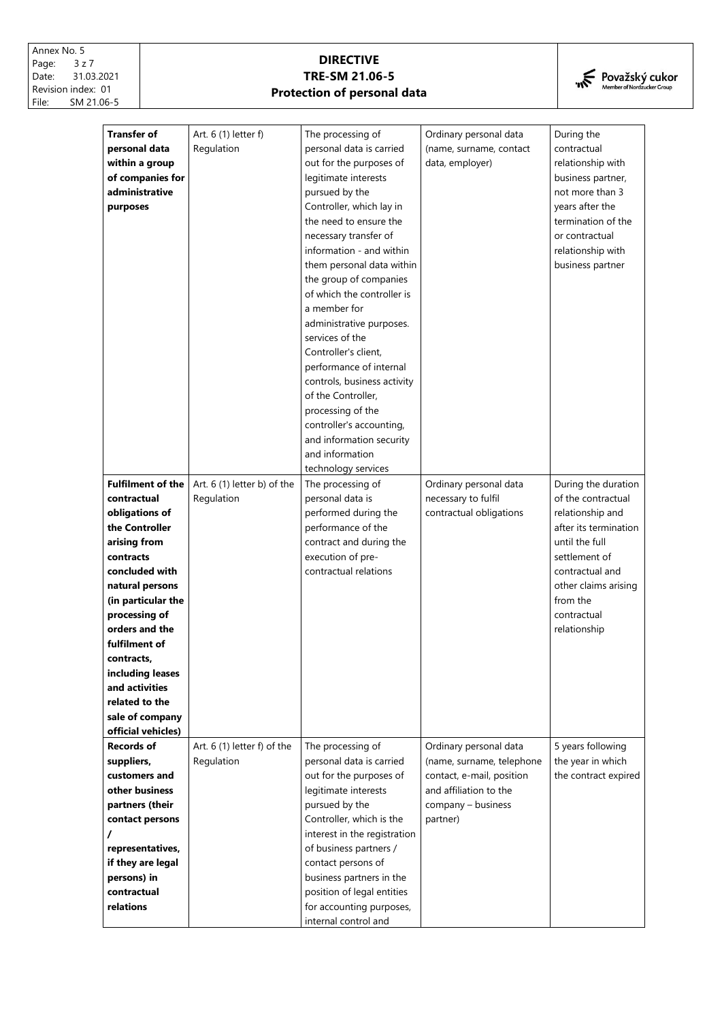

| <b>Transfer of</b>         | Art. 6 (1) letter f)        | The processing of                                      | Ordinary personal data    | During the            |
|----------------------------|-----------------------------|--------------------------------------------------------|---------------------------|-----------------------|
| personal data              | Regulation                  | personal data is carried                               | (name, surname, contact   | contractual           |
| within a group             |                             | out for the purposes of                                | data, employer)           | relationship with     |
| of companies for           |                             | legitimate interests                                   |                           | business partner,     |
| administrative             |                             | pursued by the                                         |                           | not more than 3       |
| purposes                   |                             | Controller, which lay in                               |                           | years after the       |
|                            |                             | the need to ensure the                                 |                           | termination of the    |
|                            |                             | necessary transfer of                                  |                           | or contractual        |
|                            |                             | information - and within                               |                           | relationship with     |
|                            |                             | them personal data within                              |                           | business partner      |
|                            |                             | the group of companies                                 |                           |                       |
|                            |                             | of which the controller is                             |                           |                       |
|                            |                             | a member for                                           |                           |                       |
|                            |                             | administrative purposes.                               |                           |                       |
|                            |                             | services of the                                        |                           |                       |
|                            |                             | Controller's client,                                   |                           |                       |
|                            |                             | performance of internal                                |                           |                       |
|                            |                             | controls, business activity                            |                           |                       |
|                            |                             | of the Controller,                                     |                           |                       |
|                            |                             | processing of the                                      |                           |                       |
|                            |                             | controller's accounting,                               |                           |                       |
|                            |                             | and information security                               |                           |                       |
|                            |                             | and information                                        |                           |                       |
|                            |                             | technology services                                    |                           |                       |
| <b>Fulfilment of the</b>   | Art. 6 (1) letter b) of the | The processing of                                      | Ordinary personal data    | During the duration   |
| contractual                | Regulation                  | personal data is                                       | necessary to fulfil       | of the contractual    |
| obligations of             |                             | performed during the                                   | contractual obligations   | relationship and      |
| the Controller             |                             | performance of the                                     |                           | after its termination |
| arising from               |                             | contract and during the                                |                           | until the full        |
| contracts                  |                             | execution of pre-                                      |                           | settlement of         |
| concluded with             |                             | contractual relations                                  |                           | contractual and       |
| natural persons            |                             |                                                        |                           | other claims arising  |
| (in particular the         |                             |                                                        |                           | from the              |
| processing of              |                             |                                                        |                           | contractual           |
| orders and the             |                             |                                                        |                           | relationship          |
| fulfilment of              |                             |                                                        |                           |                       |
| contracts,                 |                             |                                                        |                           |                       |
| including leases           |                             |                                                        |                           |                       |
| and activities             |                             |                                                        |                           |                       |
| related to the             |                             |                                                        |                           |                       |
| sale of company            |                             |                                                        |                           |                       |
| official vehicles)         |                             |                                                        |                           |                       |
| Records of                 | Art. 6 (1) letter f) of the | The processing of                                      | Ordinary personal data    | 5 years following     |
| suppliers,                 | Regulation                  | personal data is carried                               | (name, surname, telephone | the year in which     |
| customers and              |                             | out for the purposes of                                | contact, e-mail, position | the contract expired  |
| other business             |                             | legitimate interests                                   | and affiliation to the    |                       |
| partners (their            |                             | pursued by the<br>Controller, which is the             | company - business        |                       |
| contact persons            |                             |                                                        | partner)                  |                       |
|                            |                             | interest in the registration                           |                           |                       |
| representatives,           |                             | of business partners /                                 |                           |                       |
| if they are legal          |                             | contact persons of                                     |                           |                       |
| persons) in<br>contractual |                             | business partners in the<br>position of legal entities |                           |                       |
| relations                  |                             | for accounting purposes,                               |                           |                       |
|                            |                             | internal control and                                   |                           |                       |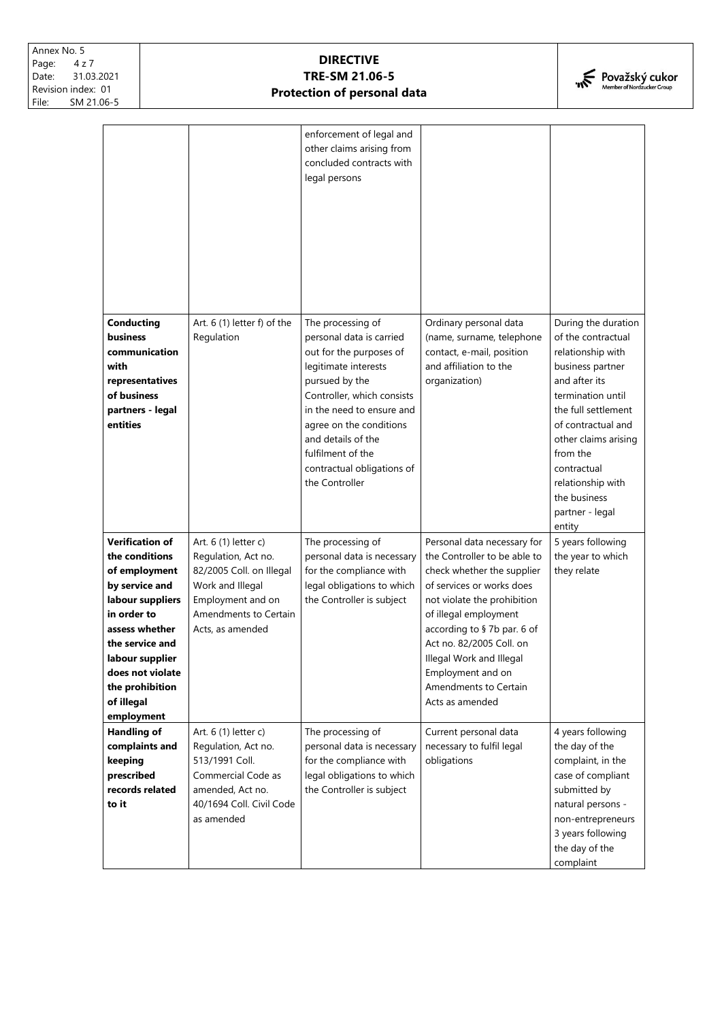

| <b>Conducting</b>                                                                                                                                                                                                                         | Art. $6(1)$ letter $f$ ) of the                                                                                                                               | enforcement of legal and<br>other claims arising from<br>concluded contracts with<br>legal persons<br>The processing of                                                                                                                                                        | Ordinary personal data                                                                                                                                                                                                                                                                                                                | During the duration                                                                                                                                                                                                                                                 |
|-------------------------------------------------------------------------------------------------------------------------------------------------------------------------------------------------------------------------------------------|---------------------------------------------------------------------------------------------------------------------------------------------------------------|--------------------------------------------------------------------------------------------------------------------------------------------------------------------------------------------------------------------------------------------------------------------------------|---------------------------------------------------------------------------------------------------------------------------------------------------------------------------------------------------------------------------------------------------------------------------------------------------------------------------------------|---------------------------------------------------------------------------------------------------------------------------------------------------------------------------------------------------------------------------------------------------------------------|
| business<br>communication<br>with<br>representatives<br>of business<br>partners - legal<br>entities                                                                                                                                       | Regulation                                                                                                                                                    | personal data is carried<br>out for the purposes of<br>legitimate interests<br>pursued by the<br>Controller, which consists<br>in the need to ensure and<br>agree on the conditions<br>and details of the<br>fulfilment of the<br>contractual obligations of<br>the Controller | (name, surname, telephone<br>contact, e-mail, position<br>and affiliation to the<br>organization)                                                                                                                                                                                                                                     | of the contractual<br>relationship with<br>business partner<br>and after its<br>termination until<br>the full settlement<br>of contractual and<br>other claims arising<br>from the<br>contractual<br>relationship with<br>the business<br>partner - legal<br>entity |
| <b>Verification of</b><br>the conditions<br>of employment<br>by service and<br>labour suppliers<br>in order to<br>assess whether<br>the service and<br>labour supplier<br>does not violate<br>the prohibition<br>of illegal<br>employment | Art. 6 (1) letter c)<br>Regulation, Act no.<br>82/2005 Coll. on Illegal<br>Work and Illegal<br>Employment and on<br>Amendments to Certain<br>Acts, as amended | The processing of<br>personal data is necessary<br>for the compliance with<br>legal obligations to which<br>the Controller is subject                                                                                                                                          | Personal data necessary for<br>the Controller to be able to<br>check whether the supplier<br>of services or works does<br>not violate the prohibition<br>of illegal employment<br>according to §7b par. 6 of<br>Act no. 82/2005 Coll. on<br>Illegal Work and Illegal<br>Employment and on<br>Amendments to Certain<br>Acts as amended | 5 years following<br>the year to which<br>they relate                                                                                                                                                                                                               |
| <b>Handling of</b><br>complaints and<br>keeping<br>prescribed<br>records related<br>to it                                                                                                                                                 | Art. 6 (1) letter c)<br>Regulation, Act no.<br>513/1991 Coll.<br>Commercial Code as<br>amended, Act no.<br>40/1694 Coll. Civil Code<br>as amended             | The processing of<br>personal data is necessary<br>for the compliance with<br>legal obligations to which<br>the Controller is subject                                                                                                                                          | Current personal data<br>necessary to fulfil legal<br>obligations                                                                                                                                                                                                                                                                     | 4 years following<br>the day of the<br>complaint, in the<br>case of compliant<br>submitted by<br>natural persons -<br>non-entrepreneurs<br>3 years following<br>the day of the<br>complaint                                                                         |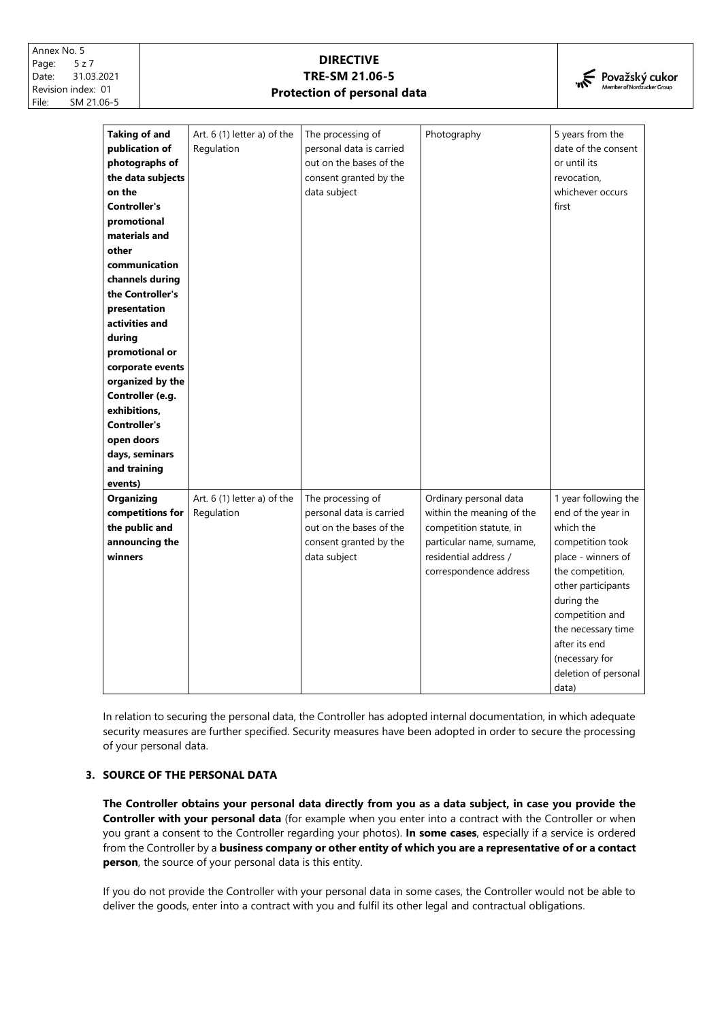

| <b>Taking of and</b><br>publication of<br>photographs of<br>the data subjects<br>on the<br><b>Controller's</b><br>promotional<br>materials and<br>other<br>communication<br>channels during<br>the Controller's<br>presentation<br>activities and<br>during<br>promotional or<br>corporate events<br>organized by the<br>Controller (e.g.<br>exhibitions,<br><b>Controller's</b><br>open doors<br>days, seminars<br>and training<br>events) | Art. 6 (1) letter a) of the<br>Regulation | The processing of<br>personal data is carried<br>out on the bases of the<br>consent granted by the<br>data subject | Photography                                                                                                                                                    | 5 years from the<br>date of the consent<br>or until its<br>revocation,<br>whichever occurs<br>first                                                                                                                                                                    |
|---------------------------------------------------------------------------------------------------------------------------------------------------------------------------------------------------------------------------------------------------------------------------------------------------------------------------------------------------------------------------------------------------------------------------------------------|-------------------------------------------|--------------------------------------------------------------------------------------------------------------------|----------------------------------------------------------------------------------------------------------------------------------------------------------------|------------------------------------------------------------------------------------------------------------------------------------------------------------------------------------------------------------------------------------------------------------------------|
| <b>Organizing</b><br>competitions for<br>the public and<br>announcing the<br>winners                                                                                                                                                                                                                                                                                                                                                        | Art. 6 (1) letter a) of the<br>Regulation | The processing of<br>personal data is carried<br>out on the bases of the<br>consent granted by the<br>data subject | Ordinary personal data<br>within the meaning of the<br>competition statute, in<br>particular name, surname,<br>residential address /<br>correspondence address | 1 year following the<br>end of the year in<br>which the<br>competition took<br>place - winners of<br>the competition,<br>other participants<br>during the<br>competition and<br>the necessary time<br>after its end<br>(necessary for<br>deletion of personal<br>data) |

In relation to securing the personal data, the Controller has adopted internal documentation, in which adequate security measures are further specified. Security measures have been adopted in order to secure the processing of your personal data.

## **3. SOURCE OF THE PERSONAL DATA**

**The Controller obtains your personal data directly from you as a data subject, in case you provide the Controller with your personal data** (for example when you enter into a contract with the Controller or when you grant a consent to the Controller regarding your photos). **In some cases**, especially if a service is ordered from the Controller by a **business company or other entity of which you are a representative of or a contact person**, the source of your personal data is this entity.

If you do not provide the Controller with your personal data in some cases, the Controller would not be able to deliver the goods, enter into a contract with you and fulfil its other legal and contractual obligations.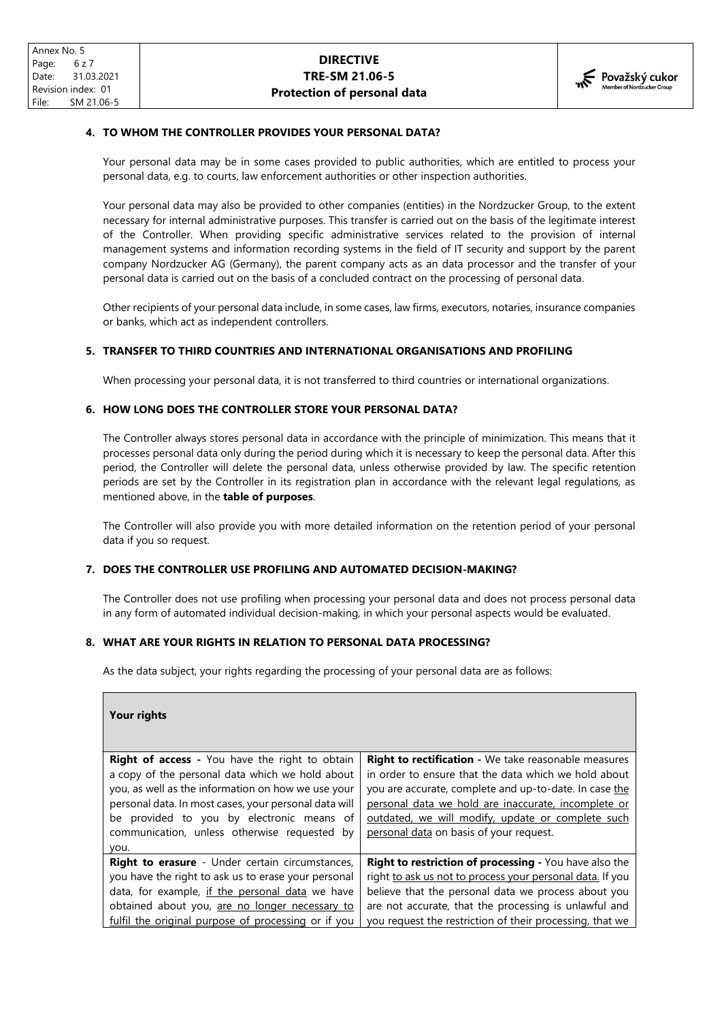### **4. TO WHOM THE CONTROLLER PROVIDES YOUR PERSONAL DATA?**

Your personal data may be in some cases provided to public authorities, which are entitled to process your personal data, e.g. to courts, law enforcement authorities or other inspection authorities.

Your personal data may also be provided to other companies (entities) in the Nordzucker Group, to the extent necessary for internal administrative purposes. This transfer is carried out on the basis of the legitimate interest of the Controller. When providing specific administrative services related to the provision of internal management systems and information recording systems in the field of IT security and support by the parent company Nordzucker AG (Germany), the parent company acts as an data processor and the transfer of your personal data is carried out on the basis of a concluded contract on the processing of personal data.

Other recipients of your personal data include, in some cases, law firms, executors, notaries, insurance companies or banks, which act as independent controllers.

#### **5. TRANSFER TO THIRD COUNTRIES AND INTERNATIONAL ORGANISATIONS AND PROFILING**

When processing your personal data, it is not transferred to third countries or international organizations.

### **6. HOW LONG DOES THE CONTROLLER STORE YOUR PERSONAL DATA?**

The Controller always stores personal data in accordance with the principle of minimization. This means that it processes personal data only during the period during which it is necessary to keep the personal data. After this period, the Controller will delete the personal data, unless otherwise provided by law. The specific retention periods are set by the Controller in its registration plan in accordance with the relevant legal regulations, as mentioned above, in the **table of purposes**.

The Controller will also provide you with more detailed information on the retention period of your personal data if you so request.

### **7. DOES THE CONTROLLER USE PROFILING AND AUTOMATED DECISION-MAKING?**

The Controller does not use profiling when processing your personal data and does not process personal data in any form of automated individual decision-making, in which your personal aspects would be evaluated.

#### **8. WHAT ARE YOUR RIGHTS IN RELATION TO PERSONAL DATA PROCESSING?**

As the data subject, your rights regarding the processing of your personal data are as follows:

| Your rights                                            |                                                             |
|--------------------------------------------------------|-------------------------------------------------------------|
|                                                        |                                                             |
| <b>Right of access</b> - You have the right to obtain  | <b>Right to rectification -</b> We take reasonable measures |
| a copy of the personal data which we hold about        | in order to ensure that the data which we hold about        |
| you, as well as the information on how we use your     | you are accurate, complete and up-to-date. In case the      |
| personal data. In most cases, your personal data will  | personal data we hold are inaccurate, incomplete or         |
| be provided to you by electronic means of              | outdated, we will modify, update or complete such           |
| communication, unless otherwise requested by           | personal data on basis of your request.                     |
| you.                                                   |                                                             |
| <b>Right to erasure</b> - Under certain circumstances, | Right to restriction of processing - You have also the      |
| you have the right to ask us to erase your personal    | right to ask us not to process your personal data. If you   |
| data, for example, if the personal data we have        | believe that the personal data we process about you         |
| obtained about you, are no longer necessary to         | are not accurate, that the processing is unlawful and       |
| fulfil the original purpose of processing or if you    | you request the restriction of their processing, that we    |